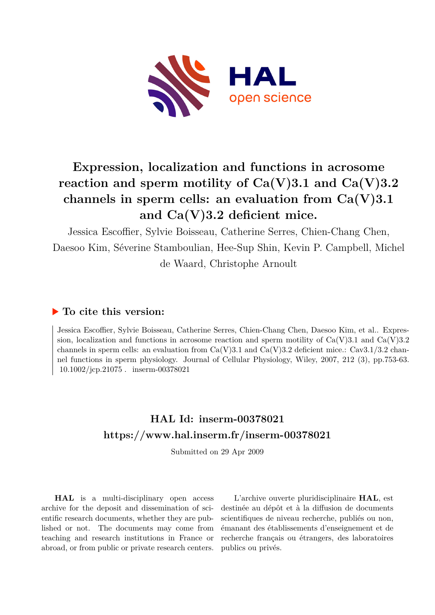

## **Expression, localization and functions in acrosome** reaction and sperm motility of  $Ca(V)3.1$  and  $Ca(V)3.2$ **channels in sperm cells: an evaluation from Ca(V)3.1 and Ca(V)3.2 deficient mice.**

Jessica Escoffier, Sylvie Boisseau, Catherine Serres, Chien-Chang Chen, Daesoo Kim, Séverine Stamboulian, Hee-Sup Shin, Kevin P. Campbell, Michel de Waard, Christophe Arnoult

## **To cite this version:**

Jessica Escoffier, Sylvie Boisseau, Catherine Serres, Chien-Chang Chen, Daesoo Kim, et al.. Expression, localization and functions in acrosome reaction and sperm motility of  $Ca(V)3.1$  and  $Ca(V)3.2$ channels in sperm cells: an evaluation from  $Ca(V)3.1$  and  $Ca(V)3.2$  deficient mice.:  $CaV3.1/3.2$  channel functions in sperm physiology. Journal of Cellular Physiology, Wiley, 2007, 212 (3), pp.753-63.  $10.1002/jcp.21075$ . inserm-00378021

## **HAL Id: inserm-00378021 <https://www.hal.inserm.fr/inserm-00378021>**

Submitted on 29 Apr 2009

**HAL** is a multi-disciplinary open access archive for the deposit and dissemination of scientific research documents, whether they are published or not. The documents may come from teaching and research institutions in France or abroad, or from public or private research centers.

L'archive ouverte pluridisciplinaire **HAL**, est destinée au dépôt et à la diffusion de documents scientifiques de niveau recherche, publiés ou non, émanant des établissements d'enseignement et de recherche français ou étrangers, des laboratoires publics ou privés.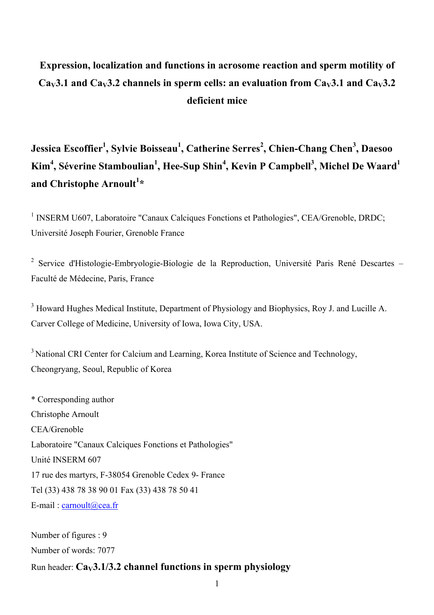## **Expression, localization and functions in acrosome reaction and sperm motility of**   $Ca<sub>V</sub>3.1$  and  $Ca<sub>V</sub>3.2$  channels in sperm cells: an evaluation from  $Ca<sub>V</sub>3.1$  and  $Ca<sub>V</sub>3.2$ **deficient mice**

**Jessica Escoffier<sup>1</sup> , Sylvie Boisseau<sup>1</sup> , Catherine Serres<sup>2</sup> , Chien-Chang Chen<sup>3</sup> , Daesoo Kim4 , Séverine Stamboulian<sup>1</sup> , Hee-Sup Shin<sup>4</sup> , Kevin P Campbell<sup>3</sup> , Michel De Waard<sup>1</sup> and Christophe Arnoult<sup>1</sup> \*** 

<sup>1</sup> INSERM U607, Laboratoire "Canaux Calciques Fonctions et Pathologies", CEA/Grenoble, DRDC; Université Joseph Fourier, Grenoble France

<sup>2</sup> Service d'Histologie-Embryologie-Biologie de la Reproduction, Université Paris René Descartes – Faculté de Médecine, Paris, France

 $3$  Howard Hughes Medical Institute, Department of Physiology and Biophysics, Roy J. and Lucille A. Carver College of Medicine, University of Iowa, Iowa City, USA.

<sup>3</sup> National CRI Center for Calcium and Learning, Korea Institute of Science and Technology, Cheongryang, Seoul, Republic of Korea

\* Corresponding author Christophe Arnoult CEA/Grenoble Laboratoire "Canaux Calciques Fonctions et Pathologies" Unité INSERM 607 17 rue des martyrs, F-38054 Grenoble Cedex 9- France Tel (33) 438 78 38 90 01 Fax (33) 438 78 50 41 E-mail : carnoult@cea.fr

Number of figures : 9 Number of words: 7077 Run header: Ca<sub>V</sub>3.1/3.2 channel functions in sperm physiology

1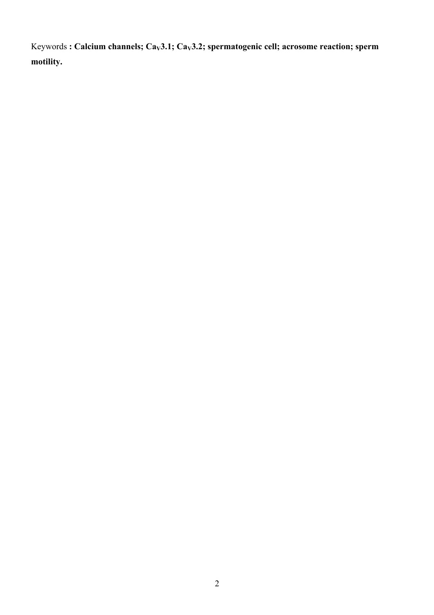Keywords : Calcium channels; Ca<sub>V</sub>3.1; Ca<sub>V</sub>3.2; spermatogenic cell; acrosome reaction; sperm **motility.**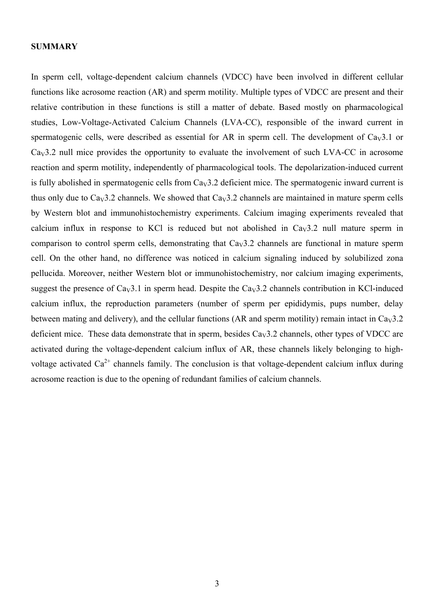### **SUMMARY**

In sperm cell, voltage-dependent calcium channels (VDCC) have been involved in different cellular functions like acrosome reaction (AR) and sperm motility. Multiple types of VDCC are present and their relative contribution in these functions is still a matter of debate. Based mostly on pharmacological studies, Low-Voltage-Activated Calcium Channels (LVA-CC), responsible of the inward current in spermatogenic cells, were described as essential for AR in sperm cell. The development of  $Cav3.1$  or CaV3.2 null mice provides the opportunity to evaluate the involvement of such LVA-CC in acrosome reaction and sperm motility, independently of pharmacological tools. The depolarization-induced current is fully abolished in spermatogenic cells from  $Cav3.2$  deficient mice. The spermatogenic inward current is thus only due to  $Ca<sub>V</sub>3.2$  channels. We showed that  $Ca<sub>V</sub>3.2$  channels are maintained in mature sperm cells by Western blot and immunohistochemistry experiments. Calcium imaging experiments revealed that calcium influx in response to KCl is reduced but not abolished in  $Cav3.2$  null mature sperm in comparison to control sperm cells, demonstrating that CaV3.2 channels are functional in mature sperm cell. On the other hand, no difference was noticed in calcium signaling induced by solubilized zona pellucida. Moreover, neither Western blot or immunohistochemistry, nor calcium imaging experiments, suggest the presence of  $Ca<sub>V</sub>3.1$  in sperm head. Despite the  $Ca<sub>V</sub>3.2$  channels contribution in KCl-induced calcium influx, the reproduction parameters (number of sperm per epididymis, pups number, delay between mating and delivery), and the cellular functions (AR and sperm motility) remain intact in  $C_{av}3.2$ deficient mice. These data demonstrate that in sperm, besides  $Ca<sub>v</sub>3.2$  channels, other types of VDCC are activated during the voltage-dependent calcium influx of AR, these channels likely belonging to highvoltage activated  $Ca^{2+}$  channels family. The conclusion is that voltage-dependent calcium influx during acrosome reaction is due to the opening of redundant families of calcium channels.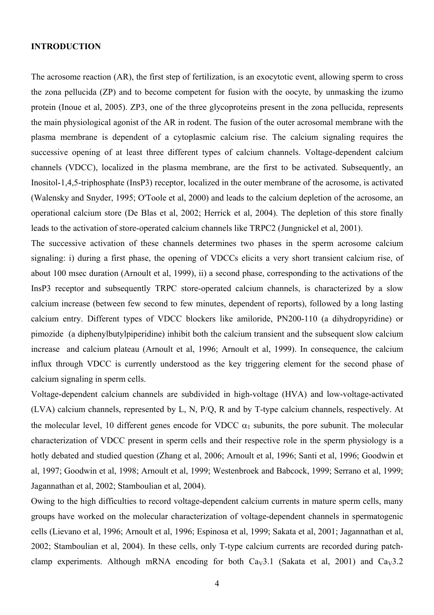#### **INTRODUCTION**

The acrosome reaction (AR), the first step of fertilization, is an exocytotic event, allowing sperm to cross the zona pellucida (ZP) and to become competent for fusion with the oocyte, by unmasking the izumo protein (Inoue et al, 2005). ZP3, one of the three glycoproteins present in the zona pellucida, represents the main physiological agonist of the AR in rodent. The fusion of the outer acrosomal membrane with the plasma membrane is dependent of a cytoplasmic calcium rise. The calcium signaling requires the successive opening of at least three different types of calcium channels. Voltage-dependent calcium channels (VDCC), localized in the plasma membrane, are the first to be activated. Subsequently, an Inositol-1,4,5-triphosphate (InsP3) receptor, localized in the outer membrane of the acrosome, is activated (Walensky and Snyder, 1995; O'Toole et al, 2000) and leads to the calcium depletion of the acrosome, an operational calcium store (De Blas et al, 2002; Herrick et al, 2004). The depletion of this store finally leads to the activation of store-operated calcium channels like TRPC2 (Jungnickel et al, 2001).

The successive activation of these channels determines two phases in the sperm acrosome calcium signaling: i) during a first phase, the opening of VDCCs elicits a very short transient calcium rise, of about 100 msec duration (Arnoult et al, 1999), ii) a second phase, corresponding to the activations of the InsP3 receptor and subsequently TRPC store-operated calcium channels, is characterized by a slow calcium increase (between few second to few minutes, dependent of reports), followed by a long lasting calcium entry. Different types of VDCC blockers like amiloride, PN200-110 (a dihydropyridine) or pimozide (a diphenylbutylpiperidine) inhibit both the calcium transient and the subsequent slow calcium increase and calcium plateau (Arnoult et al, 1996; Arnoult et al, 1999). In consequence, the calcium influx through VDCC is currently understood as the key triggering element for the second phase of calcium signaling in sperm cells.

Voltage-dependent calcium channels are subdivided in high-voltage (HVA) and low-voltage-activated (LVA) calcium channels, represented by L, N, P/Q, R and by T-type calcium channels, respectively. At the molecular level, 10 different genes encode for VDCC  $\alpha_1$  subunits, the pore subunit. The molecular characterization of VDCC present in sperm cells and their respective role in the sperm physiology is a hotly debated and studied question (Zhang et al, 2006; Arnoult et al, 1996; Santi et al, 1996; Goodwin et al, 1997; Goodwin et al, 1998; Arnoult et al, 1999; Westenbroek and Babcock, 1999; Serrano et al, 1999; Jagannathan et al, 2002; Stamboulian et al, 2004).

Owing to the high difficulties to record voltage-dependent calcium currents in mature sperm cells, many groups have worked on the molecular characterization of voltage-dependent channels in spermatogenic cells (Lievano et al, 1996; Arnoult et al, 1996; Espinosa et al, 1999; Sakata et al, 2001; Jagannathan et al, 2002; Stamboulian et al, 2004). In these cells, only T-type calcium currents are recorded during patchclamp experiments. Although mRNA encoding for both  $Ca<sub>v</sub>3.1$  (Sakata et al, 2001) and  $Ca<sub>v</sub>3.2$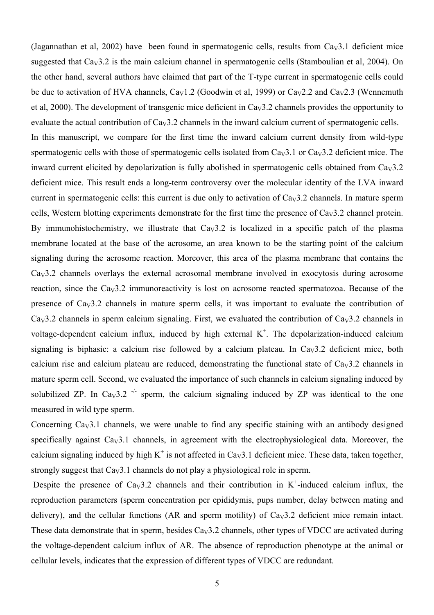(Jagannathan et al, 2002) have been found in spermatogenic cells, results from  $Ca<sub>v</sub>3.1$  deficient mice suggested that  $Ca<sub>v</sub>3.2$  is the main calcium channel in spermatogenic cells (Stamboulian et al, 2004). On the other hand, several authors have claimed that part of the T-type current in spermatogenic cells could be due to activation of HVA channels,  $Cay1.2$  (Goodwin et al, 1999) or  $Cay2.2$  and  $Cay2.3$  (Wennemuth et al, 2000). The development of transgenic mice deficient in  $Ca<sub>v</sub>3.2$  channels provides the opportunity to evaluate the actual contribution of  $Ca<sub>v</sub>3.2$  channels in the inward calcium current of spermatogenic cells. In this manuscript, we compare for the first time the inward calcium current density from wild-type spermatogenic cells with those of spermatogenic cells isolated from  $Ca<sub>V</sub>3.1$  or  $Ca<sub>V</sub>3.2$  deficient mice. The inward current elicited by depolarization is fully abolished in spermatogenic cells obtained from  $C_{av}3.2$ deficient mice. This result ends a long-term controversy over the molecular identity of the LVA inward current in spermatogenic cells: this current is due only to activation of  $Ca<sub>V</sub>3.2$  channels. In mature sperm cells, Western blotting experiments demonstrate for the first time the presence of  $Cav3.2$  channel protein. By immunohistochemistry, we illustrate that  $Ca<sub>v</sub>3.2$  is localized in a specific patch of the plasma membrane located at the base of the acrosome, an area known to be the starting point of the calcium signaling during the acrosome reaction. Moreover, this area of the plasma membrane that contains the  $Cay3.2$  channels overlays the external acrosomal membrane involved in exocytosis during acrosome reaction, since the  $Cav3.2$  immunoreactivity is lost on acrosome reacted spermatozoa. Because of the presence of  $Ca<sub>v</sub>3.2$  channels in mature sperm cells, it was important to evaluate the contribution of  $Cav3.2$  channels in sperm calcium signaling. First, we evaluated the contribution of  $Cav3.2$  channels in voltage-dependent calcium influx, induced by high external  $K^+$ . The depolarization-induced calcium signaling is biphasic: a calcium rise followed by a calcium plateau. In  $Ca<sub>v</sub>3.2$  deficient mice, both calcium rise and calcium plateau are reduced, demonstrating the functional state of  $C_{av}3.2$  channels in mature sperm cell. Second, we evaluated the importance of such channels in calcium signaling induced by solubilized ZP. In Ca<sub>V</sub>3.2<sup>-/-</sup> sperm, the calcium signaling induced by ZP was identical to the one measured in wild type sperm.

Concerning  $Cay3.1$  channels, we were unable to find any specific staining with an antibody designed specifically against Ca<sub>V</sub>3.1 channels, in agreement with the electrophysiological data. Moreover, the calcium signaling induced by high  $K^+$  is not affected in Ca<sub>V</sub>3.1 deficient mice. These data, taken together, strongly suggest that  $Cav3.1$  channels do not play a physiological role in sperm.

Despite the presence of  $Ca<sub>v</sub>3.2$  channels and their contribution in K<sup>+</sup>-induced calcium influx, the reproduction parameters (sperm concentration per epididymis, pups number, delay between mating and delivery), and the cellular functions (AR and sperm motility) of  $Ca<sub>v</sub>3.2$  deficient mice remain intact. These data demonstrate that in sperm, besides  $Ca<sub>V</sub>3.2$  channels, other types of VDCC are activated during the voltage-dependent calcium influx of AR. The absence of reproduction phenotype at the animal or cellular levels, indicates that the expression of different types of VDCC are redundant.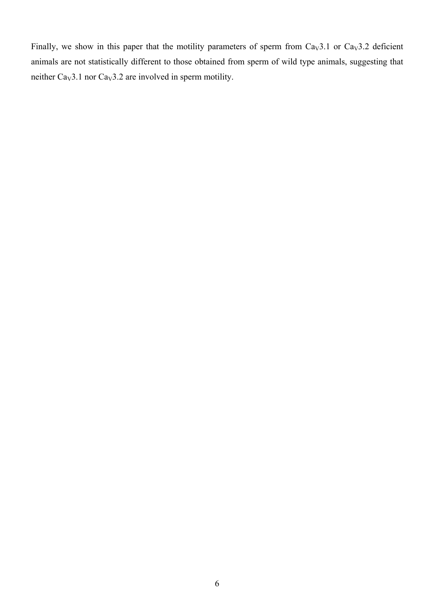Finally, we show in this paper that the motility parameters of sperm from  $Ca<sub>v</sub>3.1$  or  $Ca<sub>v</sub>3.2$  deficient animals are not statistically different to those obtained from sperm of wild type animals, suggesting that neither  $Cav3.1$  nor  $Cav3.2$  are involved in sperm motility.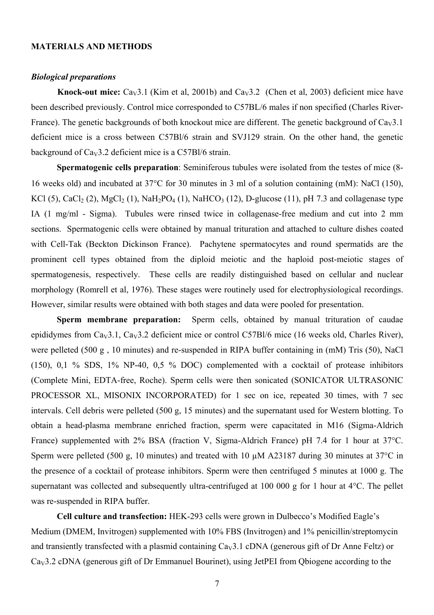#### **MATERIALS AND METHODS**

### *Biological preparations*

**Knock-out mice:**  $Cay3.1$  (Kim et al, 2001b) and  $Cay3.2$  (Chen et al, 2003) deficient mice have been described previously. Control mice corresponded to C57BL/6 males if non specified (Charles River-France). The genetic backgrounds of both knockout mice are different. The genetic background of  $Ca<sub>v</sub>3.1$ deficient mice is a cross between C57Bl/6 strain and SVJ129 strain. On the other hand, the genetic background of  $Ca<sub>V</sub>3.2$  deficient mice is a C57Bl/6 strain.

**Spermatogenic cells preparation**: Seminiferous tubules were isolated from the testes of mice (8- 16 weeks old) and incubated at 37°C for 30 minutes in 3 ml of a solution containing (mM): NaCl (150), KCl (5), CaCl<sub>2</sub> (2), MgCl<sub>2</sub> (1), NaH<sub>2</sub>PO<sub>4</sub> (1), NaHCO<sub>3</sub> (12), D-glucose (11), pH 7.3 and collagenase type IA (1 mg/ml - Sigma). Tubules were rinsed twice in collagenase-free medium and cut into 2 mm sections. Spermatogenic cells were obtained by manual trituration and attached to culture dishes coated with Cell-Tak (Beckton Dickinson France). Pachytene spermatocytes and round spermatids are the prominent cell types obtained from the diploid meiotic and the haploid post-meiotic stages of spermatogenesis, respectively. These cells are readily distinguished based on cellular and nuclear morphology (Romrell et al, 1976). These stages were routinely used for electrophysiological recordings. However, similar results were obtained with both stages and data were pooled for presentation.

**Sperm membrane preparation:** Sperm cells, obtained by manual trituration of caudae epididymes from Ca<sub>V</sub>3.1, Ca<sub>V</sub>3.2 deficient mice or control C57Bl/6 mice (16 weeks old, Charles River), were pelleted (500 g , 10 minutes) and re-suspended in RIPA buffer containing in (mM) Tris (50), NaCl (150), 0,1 % SDS, 1% NP-40, 0,5 % DOC) complemented with a cocktail of protease inhibitors (Complete Mini, EDTA-free, Roche). Sperm cells were then sonicated (SONICATOR ULTRASONIC PROCESSOR XL, MISONIX INCORPORATED) for 1 sec on ice, repeated 30 times, with 7 sec intervals. Cell debris were pelleted (500 g, 15 minutes) and the supernatant used for Western blotting. To obtain a head-plasma membrane enriched fraction, sperm were capacitated in M16 (Sigma-Aldrich France) supplemented with 2% BSA (fraction V, Sigma-Aldrich France) pH 7.4 for 1 hour at 37°C. Sperm were pelleted (500 g, 10 minutes) and treated with 10  $\mu$ M A23187 during 30 minutes at 37°C in the presence of a cocktail of protease inhibitors. Sperm were then centrifuged 5 minutes at 1000 g. The supernatant was collected and subsequently ultra-centrifuged at 100 000 g for 1 hour at 4°C. The pellet was re-suspended in RIPA buffer.

**Cell culture and transfection:** HEK-293 cells were grown in Dulbecco's Modified Eagle's Medium (DMEM, Invitrogen) supplemented with 10% FBS (Invitrogen) and 1% penicillin/streptomycin and transiently transfected with a plasmid containing  $Cay3.1$  cDNA (generous gift of Dr Anne Feltz) or CaV3.2 cDNA (generous gift of Dr Emmanuel Bourinet), using JetPEI from Qbiogene according to the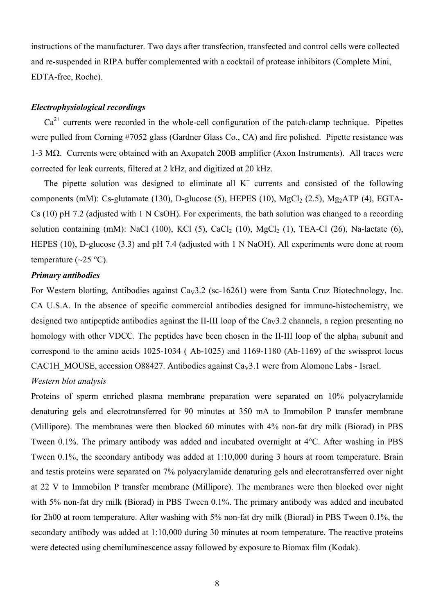instructions of the manufacturer. Two days after transfection, transfected and control cells were collected and re-suspended in RIPA buffer complemented with a cocktail of protease inhibitors (Complete Mini, EDTA-free, Roche).

#### *Electrophysiological recordings*

 $Ca<sup>2+</sup>$  currents were recorded in the whole-cell configuration of the patch-clamp technique. Pipettes were pulled from Corning #7052 glass (Gardner Glass Co., CA) and fire polished. Pipette resistance was 1-3 MΩ. Currents were obtained with an Axopatch 200B amplifier (Axon Instruments). All traces were corrected for leak currents, filtered at 2 kHz, and digitized at 20 kHz.

The pipette solution was designed to eliminate all  $K^+$  currents and consisted of the following components (mM): Cs-glutamate (130), D-glucose (5), HEPES (10), MgCl<sub>2</sub> (2.5), Mg<sub>2</sub>ATP (4), EGTA-Cs (10) pH 7.2 (adjusted with 1 N CsOH). For experiments, the bath solution was changed to a recording solution containing (mM): NaCl (100), KCl (5), CaCl<sub>2</sub> (10), MgCl<sub>2</sub> (1), TEA-Cl (26), Na-lactate (6), HEPES (10), D-glucose (3.3) and pH 7.4 (adjusted with 1 N NaOH). All experiments were done at room temperature  $(\sim 25 \text{ °C})$ .

## *Primary antibodies*

For Western blotting, Antibodies against  $Ca<sub>V</sub>3.2$  (sc-16261) were from Santa Cruz Biotechnology, Inc. CA U.S.A. In the absence of specific commercial antibodies designed for immuno-histochemistry, we designed two antipeptide antibodies against the II-III loop of the  $Cav3.2$  channels, a region presenting no homology with other VDCC. The peptides have been chosen in the II-III loop of the alpha<sub>1</sub> subunit and correspond to the amino acids 1025-1034 ( Ab-1025) and 1169-1180 (Ab-1169) of the swissprot locus CAC1H\_MOUSE, accession O88427. Antibodies against Ca<sub>V</sub>3.1 were from Alomone Labs - Israel.

## *Western blot analysis*

Proteins of sperm enriched plasma membrane preparation were separated on 10% polyacrylamide denaturing gels and elecrotransferred for 90 minutes at 350 mA to Immobilon P transfer membrane (Millipore). The membranes were then blocked 60 minutes with 4% non-fat dry milk (Biorad) in PBS Tween 0.1%. The primary antibody was added and incubated overnight at 4°C. After washing in PBS Tween 0.1%, the secondary antibody was added at 1:10,000 during 3 hours at room temperature. Brain and testis proteins were separated on 7% polyacrylamide denaturing gels and elecrotransferred over night at 22 V to Immobilon P transfer membrane (Millipore). The membranes were then blocked over night with 5% non-fat dry milk (Biorad) in PBS Tween 0.1%. The primary antibody was added and incubated for 2h00 at room temperature. After washing with 5% non-fat dry milk (Biorad) in PBS Tween 0.1%, the secondary antibody was added at 1:10,000 during 30 minutes at room temperature. The reactive proteins were detected using chemiluminescence assay followed by exposure to Biomax film (Kodak).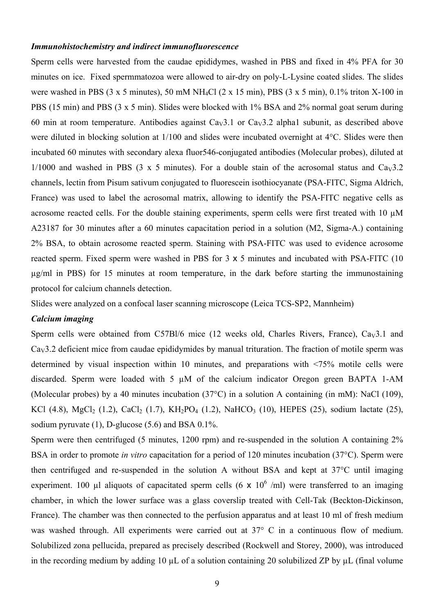### *Immunohistochemistry and indirect immunofluorescence*

Sperm cells were harvested from the caudae epididymes, washed in PBS and fixed in 4% PFA for 30 minutes on ice. Fixed spermmatozoa were allowed to air-dry on poly-L-Lysine coated slides. The slides were washed in PBS (3 x 5 minutes), 50 mM NH<sub>4</sub>Cl (2 x 15 min), PBS (3 x 5 min), 0.1% triton X-100 in PBS (15 min) and PBS (3 x 5 min). Slides were blocked with 1% BSA and 2% normal goat serum during 60 min at room temperature. Antibodies against  $Cav3.1$  or  $Cav3.2$  alpha1 subunit, as described above were diluted in blocking solution at 1/100 and slides were incubated overnight at 4°C. Slides were then incubated 60 minutes with secondary alexa fluor546-conjugated antibodies (Molecular probes), diluted at 1/1000 and washed in PBS (3 x 5 minutes). For a double stain of the acrosomal status and  $Ca<sub>v</sub>3.2$ channels, lectin from Pisum sativum conjugated to fluorescein isothiocyanate (PSA-FITC, Sigma Aldrich, France) was used to label the acrosomal matrix, allowing to identify the PSA-FITC negative cells as acrosome reacted cells. For the double staining experiments, sperm cells were first treated with 10 µM A23187 for 30 minutes after a 60 minutes capacitation period in a solution (M2, Sigma-A.) containing 2% BSA, to obtain acrosome reacted sperm. Staining with PSA-FITC was used to evidence acrosome reacted sperm. Fixed sperm were washed in PBS for 3  $\times$  5 minutes and incubated with PSA-FITC (10 µg/ml in PBS) for 15 minutes at room temperature, in the dark before starting the immunostaining protocol for calcium channels detection.

Slides were analyzed on a confocal laser scanning microscope (Leica TCS-SP2, Mannheim)

## *Calcium imaging*

Sperm cells were obtained from C57Bl/6 mice (12 weeks old, Charles Rivers, France),  $Cav3.1$  and CaV3.2 deficient mice from caudae epididymides by manual trituration. The fraction of motile sperm was determined by visual inspection within 10 minutes, and preparations with <75% motile cells were discarded. Sperm were loaded with 5 µM of the calcium indicator Oregon green BAPTA 1-AM (Molecular probes) by a 40 minutes incubation (37°C) in a solution A containing (in mM): NaCl (109), KCl (4.8), MgCl<sub>2</sub> (1.2), CaCl<sub>2</sub> (1.7), KH<sub>2</sub>PO<sub>4</sub> (1.2), NaHCO<sub>3</sub> (10), HEPES (25), sodium lactate (25), sodium pyruvate (1), D-glucose (5.6) and BSA 0.1%.

Sperm were then centrifuged (5 minutes, 1200 rpm) and re-suspended in the solution A containing 2% BSA in order to promote *in vitro* capacitation for a period of 120 minutes incubation (37°C). Sperm were then centrifuged and re-suspended in the solution A without BSA and kept at 37°C until imaging experiment. 100 µl aliquots of capacitated sperm cells (6  $\times$  10<sup>6</sup> /ml) were transferred to an imaging chamber, in which the lower surface was a glass coverslip treated with Cell-Tak (Beckton-Dickinson, France). The chamber was then connected to the perfusion apparatus and at least 10 ml of fresh medium was washed through. All experiments were carried out at 37° C in a continuous flow of medium. Solubilized zona pellucida, prepared as precisely described (Rockwell and Storey, 2000), was introduced in the recording medium by adding 10 µL of a solution containing 20 solubilized ZP by µL (final volume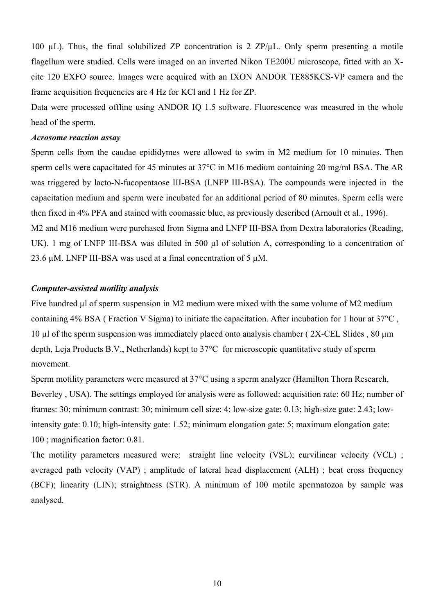100  $\mu$ L). Thus, the final solubilized ZP concentration is 2 ZP/ $\mu$ L. Only sperm presenting a motile flagellum were studied. Cells were imaged on an inverted Nikon TE200U microscope, fitted with an Xcite 120 EXFO source. Images were acquired with an IXON ANDOR TE885KCS-VP camera and the frame acquisition frequencies are 4 Hz for KCl and 1 Hz for ZP.

Data were processed offline using ANDOR IQ 1.5 software. Fluorescence was measured in the whole head of the sperm.

## *Acrosome reaction assay*

Sperm cells from the caudae epididymes were allowed to swim in M2 medium for 10 minutes. Then sperm cells were capacitated for 45 minutes at 37°C in M16 medium containing 20 mg/ml BSA. The AR was triggered by lacto-N-fucopentaose III-BSA (LNFP III-BSA). The compounds were injected in the capacitation medium and sperm were incubated for an additional period of 80 minutes. Sperm cells were then fixed in 4% PFA and stained with coomassie blue, as previously described (Arnoult et al., 1996).

M2 and M16 medium were purchased from Sigma and LNFP III-BSA from Dextra laboratories (Reading, UK). 1 mg of LNFP III-BSA was diluted in 500 µl of solution A, corresponding to a concentration of 23.6  $\mu$ M. LNFP III-BSA was used at a final concentration of 5  $\mu$ M.

### *Computer-assisted motility analysis*

Five hundred µl of sperm suspension in M2 medium were mixed with the same volume of M2 medium containing 4% BSA ( Fraction V Sigma) to initiate the capacitation. After incubation for 1 hour at 37°C , 10 µl of the sperm suspension was immediately placed onto analysis chamber ( 2X-CEL Slides , 80 µm depth, Leja Products B.V., Netherlands) kept to 37°C for microscopic quantitative study of sperm movement.

Sperm motility parameters were measured at 37°C using a sperm analyzer (Hamilton Thorn Research, Beverley , USA). The settings employed for analysis were as followed: acquisition rate: 60 Hz; number of frames: 30; minimum contrast: 30; minimum cell size: 4; low-size gate: 0.13; high-size gate: 2.43; lowintensity gate: 0.10; high-intensity gate: 1.52; minimum elongation gate: 5; maximum elongation gate: 100 ; magnification factor: 0.81.

The motility parameters measured were: straight line velocity (VSL); curvilinear velocity (VCL); averaged path velocity (VAP) ; amplitude of lateral head displacement (ALH) ; beat cross frequency (BCF); linearity (LIN); straightness (STR). A minimum of 100 motile spermatozoa by sample was analysed.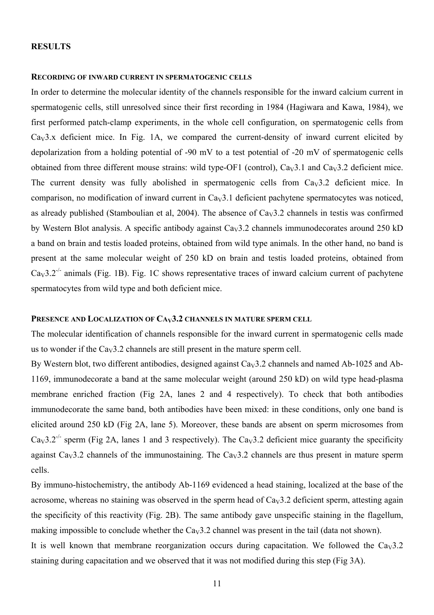### **RESULTS**

## **RECORDING OF INWARD CURRENT IN SPERMATOGENIC CELLS**

In order to determine the molecular identity of the channels responsible for the inward calcium current in spermatogenic cells, still unresolved since their first recording in 1984 (Hagiwara and Kawa, 1984), we first performed patch-clamp experiments, in the whole cell configuration, on spermatogenic cells from  $Cay3.x$  deficient mice. In Fig. 1A, we compared the current-density of inward current elicited by depolarization from a holding potential of -90 mV to a test potential of -20 mV of spermatogenic cells obtained from three different mouse strains: wild type-OF1 (control),  $Ca<sub>V</sub>3.1$  and  $Ca<sub>V</sub>3.2$  deficient mice. The current density was fully abolished in spermatogenic cells from  $Cav3.2$  deficient mice. In comparison, no modification of inward current in  $C_{av}3.1$  deficient pachytene spermatocytes was noticed, as already published (Stamboulian et al, 2004). The absence of  $Cav3.2$  channels in testis was confirmed by Western Blot analysis. A specific antibody against  $Cav3.2$  channels immunodecorates around 250 kD a band on brain and testis loaded proteins, obtained from wild type animals. In the other hand, no band is present at the same molecular weight of 250 kD on brain and testis loaded proteins, obtained from  $Ca<sub>V</sub>3.2<sup>-/-</sup>$  animals (Fig. 1B). Fig. 1C shows representative traces of inward calcium current of pachytene spermatocytes from wild type and both deficient mice.

### PRESENCE AND LOCALIZATION OF CA<sub>V</sub>3.2 CHANNELS IN MATURE SPERM CELL

The molecular identification of channels responsible for the inward current in spermatogenic cells made us to wonder if the  $Ca<sub>v</sub>3.2$  channels are still present in the mature sperm cell.

By Western blot, two different antibodies, designed against  $Ca<sub>v</sub>3.2$  channels and named Ab-1025 and Ab-1169, immunodecorate a band at the same molecular weight (around 250 kD) on wild type head-plasma membrane enriched fraction (Fig 2A, lanes 2 and 4 respectively). To check that both antibodies immunodecorate the same band, both antibodies have been mixed: in these conditions, only one band is elicited around 250 kD (Fig 2A, lane 5). Moreover, these bands are absent on sperm microsomes from  $Cav3.2<sup>-/-</sup>$  sperm (Fig 2A, lanes 1 and 3 respectively). The  $Cav3.2$  deficient mice guaranty the specificity against  $Cay3.2$  channels of the immunostaining. The  $Cay3.2$  channels are thus present in mature sperm cells.

By immuno-histochemistry, the antibody Ab-1169 evidenced a head staining, localized at the base of the acrosome, whereas no staining was observed in the sperm head of  $C_{av}3.2$  deficient sperm, attesting again the specificity of this reactivity (Fig. 2B). The same antibody gave unspecific staining in the flagellum, making impossible to conclude whether the  $Ca<sub>V</sub>3.2$  channel was present in the tail (data not shown). It is well known that membrane reorganization occurs during capacitation. We followed the  $Ca<sub>v</sub>3.2$ 

staining during capacitation and we observed that it was not modified during this step (Fig 3A).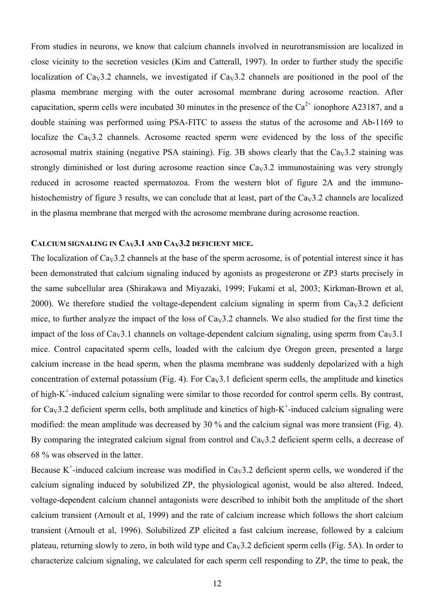From studies in neurons, we know that calcium channels involved in neurotransmission are localized in close vicinity to the secretion vesicles (Kim and Catterall, 1997). In order to further study the specific localization of  $Ca<sub>V</sub>3.2$  channels, we investigated if  $Ca<sub>V</sub>3.2$  channels are positioned in the pool of the plasma membrane merging with the outer acrosomal membrane during acrosome reaction. After capacitation, sperm cells were incubated 30 minutes in the presence of the  $Ca^{2+}$  ionophore A23187, and a double staining was performed using PSA-FITC to assess the status of the acrosome and Ab-1169 to localize the  $Cay3.2$  channels. Acrosome reacted sperm were evidenced by the loss of the specific acrosomal matrix staining (negative PSA staining). Fig. 3B shows clearly that the  $Ca<sub>V</sub>3.2$  staining was strongly diminished or lost during acrosome reaction since  $Ca<sub>v</sub>3.2$  immunostaining was very strongly reduced in acrosome reacted spermatozoa. From the western blot of figure 2A and the immunohistochemistry of figure 3 results, we can conclude that at least, part of the  $Ca<sub>V</sub>3.2$  channels are localized in the plasma membrane that merged with the acrosome membrane during acrosome reaction.

### **CALCIUM SIGNALING IN CAV3.1 AND CAV3.2 DEFICIENT MICE.**

The localization of  $C_{av}$ 3.2 channels at the base of the sperm acrosome, is of potential interest since it has been demonstrated that calcium signaling induced by agonists as progesterone or ZP3 starts precisely in the same subcellular area (Shirakawa and Miyazaki, 1999; Fukami et al, 2003; Kirkman-Brown et al, 2000). We therefore studied the voltage-dependent calcium signaling in sperm from  $Ca<sub>v</sub>3.2$  deficient mice, to further analyze the impact of the loss of  $Ca<sub>V</sub>3.2$  channels. We also studied for the first time the impact of the loss of  $Cav3.1$  channels on voltage-dependent calcium signaling, using sperm from  $Cav3.1$ mice. Control capacitated sperm cells, loaded with the calcium dye Oregon green, presented a large calcium increase in the head sperm, when the plasma membrane was suddenly depolarized with a high concentration of external potassium (Fig. 4). For  $Cav3.1$  deficient sperm cells, the amplitude and kinetics of high- $K^+$ -induced calcium signaling were similar to those recorded for control sperm cells. By contrast, for  $Ca<sub>V</sub>3.2$  deficient sperm cells, both amplitude and kinetics of high-K<sup>+</sup>-induced calcium signaling were modified: the mean amplitude was decreased by 30 % and the calcium signal was more transient (Fig. 4). By comparing the integrated calcium signal from control and  $C_{av}3.2$  deficient sperm cells, a decrease of 68 % was observed in the latter.

Because K<sup>+</sup>-induced calcium increase was modified in Ca<sub>V</sub>3.2 deficient sperm cells, we wondered if the calcium signaling induced by solubilized ZP, the physiological agonist, would be also altered. Indeed, voltage-dependent calcium channel antagonists were described to inhibit both the amplitude of the short calcium transient (Arnoult et al, 1999) and the rate of calcium increase which follows the short calcium transient (Arnoult et al, 1996). Solubilized ZP elicited a fast calcium increase, followed by a calcium plateau, returning slowly to zero, in both wild type and  $Ca<sub>V</sub>3.2$  deficient sperm cells (Fig. 5A). In order to characterize calcium signaling, we calculated for each sperm cell responding to ZP, the time to peak, the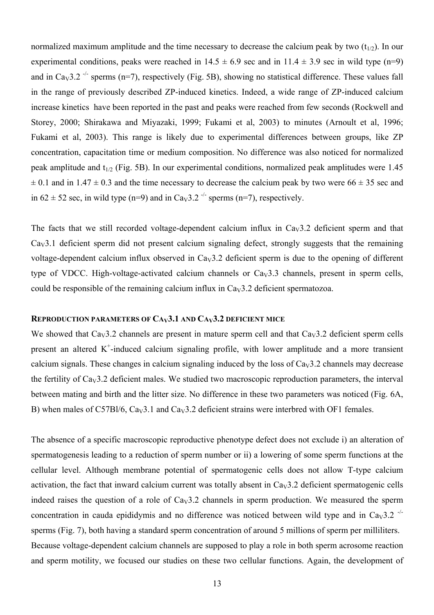normalized maximum amplitude and the time necessary to decrease the calcium peak by two  $(t_{1/2})$ . In our experimental conditions, peaks were reached in  $14.5 \pm 6.9$  sec and in  $11.4 \pm 3.9$  sec in wild type (n=9) and in Ca<sub>V</sub>3.2<sup>-/-</sup> sperms (n=7), respectively (Fig. 5B), showing no statistical difference. These values fall in the range of previously described ZP-induced kinetics. Indeed, a wide range of ZP-induced calcium increase kinetics have been reported in the past and peaks were reached from few seconds (Rockwell and Storey, 2000; Shirakawa and Miyazaki, 1999; Fukami et al, 2003) to minutes (Arnoult et al, 1996; Fukami et al, 2003). This range is likely due to experimental differences between groups, like ZP concentration, capacitation time or medium composition. No difference was also noticed for normalized peak amplitude and  $t_{1/2}$  (Fig. 5B). In our experimental conditions, normalized peak amplitudes were 1.45  $\pm$  0.1 and in 1.47  $\pm$  0.3 and the time necessary to decrease the calcium peak by two were 66  $\pm$  35 sec and in  $62 \pm 52$  sec, in wild type (n=9) and in Ca<sub>V</sub>3.2<sup>-/-</sup> sperms (n=7), respectively.

The facts that we still recorded voltage-dependent calcium influx in  $Cav3.2$  deficient sperm and that  $Cay3.1$  deficient sperm did not present calcium signaling defect, strongly suggests that the remaining voltage-dependent calcium influx observed in  $Cav3.2$  deficient sperm is due to the opening of different type of VDCC. High-voltage-activated calcium channels or  $Ca<sub>v</sub>3.3$  channels, present in sperm cells, could be responsible of the remaining calcium influx in  $Ca<sub>v</sub>3.2$  deficient spermatozoa.

## **REPRODUCTION PARAMETERS OF CAV3.1 AND CAV3.2 DEFICIENT MICE**

We showed that  $Ca<sub>V</sub>3.2$  channels are present in mature sperm cell and that  $Ca<sub>V</sub>3.2$  deficient sperm cells present an altered  $K^+$ -induced calcium signaling profile, with lower amplitude and a more transient calcium signals. These changes in calcium signaling induced by the loss of  $C_{av}3.2$  channels may decrease the fertility of  $C_{av}$ 3.2 deficient males. We studied two macroscopic reproduction parameters, the interval between mating and birth and the litter size. No difference in these two parameters was noticed (Fig. 6A, B) when males of C57Bl/6,  $Ca<sub>v</sub>3.1$  and  $Ca<sub>v</sub>3.2$  deficient strains were interbred with OF1 females.

The absence of a specific macroscopic reproductive phenotype defect does not exclude i) an alteration of spermatogenesis leading to a reduction of sperm number or ii) a lowering of some sperm functions at the cellular level. Although membrane potential of spermatogenic cells does not allow T-type calcium activation, the fact that inward calcium current was totally absent in  $Cav3.2$  deficient spermatogenic cells indeed raises the question of a role of  $Cav3.2$  channels in sperm production. We measured the sperm concentration in cauda epididymis and no difference was noticed between wild type and in  $Ca<sub>v</sub>3.2$ sperms (Fig. 7), both having a standard sperm concentration of around 5 millions of sperm per milliliters. Because voltage-dependent calcium channels are supposed to play a role in both sperm acrosome reaction and sperm motility, we focused our studies on these two cellular functions. Again, the development of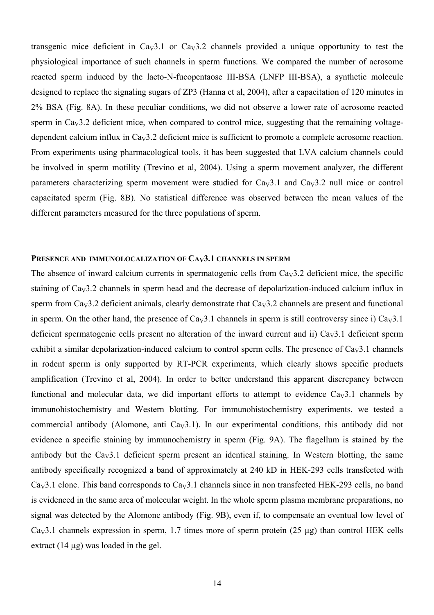transgenic mice deficient in  $Cay3.1$  or  $Cay3.2$  channels provided a unique opportunity to test the physiological importance of such channels in sperm functions. We compared the number of acrosome reacted sperm induced by the lacto-N-fucopentaose III-BSA (LNFP III-BSA), a synthetic molecule designed to replace the signaling sugars of ZP3 (Hanna et al, 2004), after a capacitation of 120 minutes in 2% BSA (Fig. 8A). In these peculiar conditions, we did not observe a lower rate of acrosome reacted sperm in  $Ca<sub>v</sub>3.2$  deficient mice, when compared to control mice, suggesting that the remaining voltagedependent calcium influx in CaV3.2 deficient mice is sufficient to promote a complete acrosome reaction. From experiments using pharmacological tools, it has been suggested that LVA calcium channels could be involved in sperm motility (Trevino et al, 2004). Using a sperm movement analyzer, the different parameters characterizing sperm movement were studied for  $Ca<sub>v</sub>3.1$  and  $Ca<sub>v</sub>3.2$  null mice or control capacitated sperm (Fig. 8B). No statistical difference was observed between the mean values of the different parameters measured for the three populations of sperm.

### **PRESENCE AND IMMUNOLOCALIZATION OF CAV3.1 CHANNELS IN SPERM**

The absence of inward calcium currents in spermatogenic cells from  $C_{av}3.2$  deficient mice, the specific staining of Ca<sub>V</sub>3.2 channels in sperm head and the decrease of depolarization-induced calcium influx in sperm from  $Ca<sub>V</sub>3.2$  deficient animals, clearly demonstrate that  $Ca<sub>V</sub>3.2$  channels are present and functional in sperm. On the other hand, the presence of  $Cav3.1$  channels in sperm is still controversy since i)  $Cav3.1$ deficient spermatogenic cells present no alteration of the inward current and ii)  $Cav3.1$  deficient sperm exhibit a similar depolarization-induced calcium to control sperm cells. The presence of  $Ca<sub>v</sub>3.1$  channels in rodent sperm is only supported by RT-PCR experiments, which clearly shows specific products amplification (Trevino et al, 2004). In order to better understand this apparent discrepancy between functional and molecular data, we did important efforts to attempt to evidence  $Ca<sub>v</sub>3.1$  channels by immunohistochemistry and Western blotting. For immunohistochemistry experiments, we tested a commercial antibody (Alomone, anti  $Cav3.1$ ). In our experimental conditions, this antibody did not evidence a specific staining by immunochemistry in sperm (Fig. 9A). The flagellum is stained by the antibody but the Ca<sub>V</sub>3.1 deficient sperm present an identical staining. In Western blotting, the same antibody specifically recognized a band of approximately at 240 kD in HEK-293 cells transfected with  $Cay3.1$  clone. This band corresponds to  $Cay3.1$  channels since in non transfected HEK-293 cells, no band is evidenced in the same area of molecular weight. In the whole sperm plasma membrane preparations, no signal was detected by the Alomone antibody (Fig. 9B), even if, to compensate an eventual low level of  $Ca<sub>V</sub>3.1$  channels expression in sperm, 1.7 times more of sperm protein (25 µg) than control HEK cells extract (14 µg) was loaded in the gel.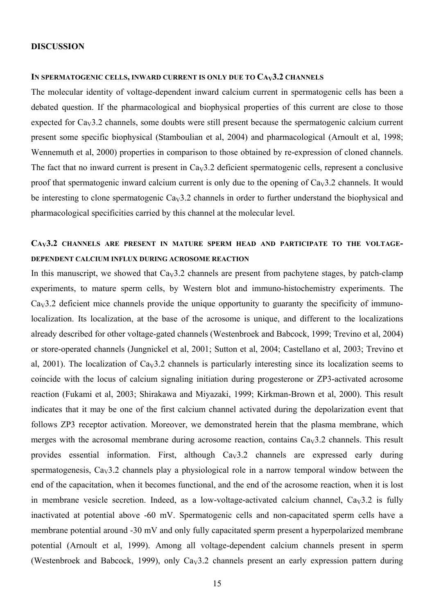#### **DISCUSSION**

## **IN SPERMATOGENIC CELLS, INWARD CURRENT IS ONLY DUE TO CAV3.2 CHANNELS**

The molecular identity of voltage-dependent inward calcium current in spermatogenic cells has been a debated question. If the pharmacological and biophysical properties of this current are close to those expected for CaV3.2 channels, some doubts were still present because the spermatogenic calcium current present some specific biophysical (Stamboulian et al, 2004) and pharmacological (Arnoult et al, 1998; Wennemuth et al, 2000) properties in comparison to those obtained by re-expression of cloned channels. The fact that no inward current is present in  $Cav3.2$  deficient spermatogenic cells, represent a conclusive proof that spermatogenic inward calcium current is only due to the opening of  $Ca<sub>v</sub>3.2$  channels. It would be interesting to clone spermatogenic  $C_{av}3.2$  channels in order to further understand the biophysical and pharmacological specificities carried by this channel at the molecular level.

## **CAV3.2 CHANNELS ARE PRESENT IN MATURE SPERM HEAD AND PARTICIPATE TO THE VOLTAGE-DEPENDENT CALCIUM INFLUX DURING ACROSOME REACTION**

In this manuscript, we showed that  $Cav3.2$  channels are present from pachytene stages, by patch-clamp experiments, to mature sperm cells, by Western blot and immuno-histochemistry experiments. The  $C_{av}$ 3.2 deficient mice channels provide the unique opportunity to guaranty the specificity of immunolocalization. Its localization, at the base of the acrosome is unique, and different to the localizations already described for other voltage-gated channels (Westenbroek and Babcock, 1999; Trevino et al, 2004) or store-operated channels (Jungnickel et al, 2001; Sutton et al, 2004; Castellano et al, 2003; Trevino et al, 2001). The localization of  $Cav3.2$  channels is particularly interesting since its localization seems to coincide with the locus of calcium signaling initiation during progesterone or ZP3-activated acrosome reaction (Fukami et al, 2003; Shirakawa and Miyazaki, 1999; Kirkman-Brown et al, 2000). This result indicates that it may be one of the first calcium channel activated during the depolarization event that follows ZP3 receptor activation. Moreover, we demonstrated herein that the plasma membrane, which merges with the acrosomal membrane during acrosome reaction, contains  $C_{av}3.2$  channels. This result provides essential information. First, although  $Ca<sub>V</sub>3.2$  channels are expressed early during spermatogenesis,  $Cay3.2$  channels play a physiological role in a narrow temporal window between the end of the capacitation, when it becomes functional, and the end of the acrosome reaction, when it is lost in membrane vesicle secretion. Indeed, as a low-voltage-activated calcium channel,  $C_{av}3.2$  is fully inactivated at potential above -60 mV. Spermatogenic cells and non-capacitated sperm cells have a membrane potential around -30 mV and only fully capacitated sperm present a hyperpolarized membrane potential (Arnoult et al, 1999). Among all voltage-dependent calcium channels present in sperm (Westenbroek and Babcock, 1999), only  $Ca<sub>v</sub>3.2$  channels present an early expression pattern during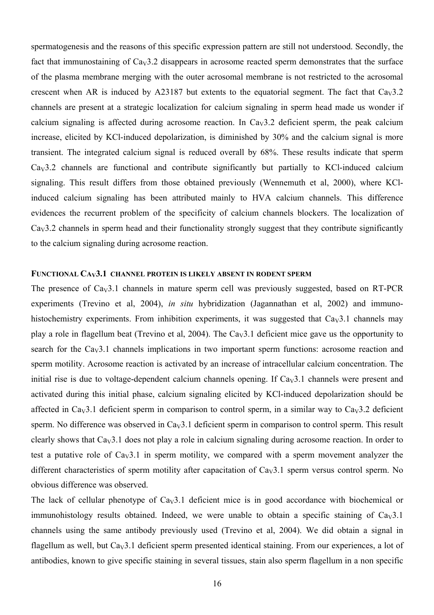spermatogenesis and the reasons of this specific expression pattern are still not understood. Secondly, the fact that immunostaining of Ca<sub>V</sub>3.2 disappears in acrosome reacted sperm demonstrates that the surface of the plasma membrane merging with the outer acrosomal membrane is not restricted to the acrosomal crescent when AR is induced by A23187 but extents to the equatorial segment. The fact that  $C_{\rm av}$ 3.2 channels are present at a strategic localization for calcium signaling in sperm head made us wonder if calcium signaling is affected during acrosome reaction. In  $C_{av}3.2$  deficient sperm, the peak calcium increase, elicited by KCl-induced depolarization, is diminished by 30% and the calcium signal is more transient. The integrated calcium signal is reduced overall by 68%. These results indicate that sperm  $Cay3.2$  channels are functional and contribute significantly but partially to KCl-induced calcium signaling. This result differs from those obtained previously (Wennemuth et al, 2000), where KClinduced calcium signaling has been attributed mainly to HVA calcium channels. This difference evidences the recurrent problem of the specificity of calcium channels blockers. The localization of  $Cay3.2$  channels in sperm head and their functionality strongly suggest that they contribute significantly to the calcium signaling during acrosome reaction.

#### **FUNCTIONAL CAV3.1 CHANNEL PROTEIN IS LIKELY ABSENT IN RODENT SPERM**

The presence of  $Ca<sub>V</sub>3.1$  channels in mature sperm cell was previously suggested, based on RT-PCR experiments (Trevino et al, 2004), *in situ* hybridization (Jagannathan et al, 2002) and immunohistochemistry experiments. From inhibition experiments, it was suggested that  $Cav3.1$  channels may play a role in flagellum beat (Trevino et al, 2004). The  $Ca<sub>v</sub>3.1$  deficient mice gave us the opportunity to search for the  $Cav3.1$  channels implications in two important sperm functions: acrosome reaction and sperm motility. Acrosome reaction is activated by an increase of intracellular calcium concentration. The initial rise is due to voltage-dependent calcium channels opening. If  $Ca<sub>v</sub>3.1$  channels were present and activated during this initial phase, calcium signaling elicited by KCl-induced depolarization should be affected in Ca<sub>V3</sub>.1 deficient sperm in comparison to control sperm, in a similar way to Ca<sub>V3</sub>.2 deficient sperm. No difference was observed in  $Ca<sub>v</sub>3.1$  deficient sperm in comparison to control sperm. This result clearly shows that  $Ca<sub>V</sub>3.1$  does not play a role in calcium signaling during acrosome reaction. In order to test a putative role of  $Ca<sub>v</sub>3.1$  in sperm motility, we compared with a sperm movement analyzer the different characteristics of sperm motility after capacitation of  $Cav3.1$  sperm versus control sperm. No obvious difference was observed.

The lack of cellular phenotype of  $Cav3.1$  deficient mice is in good accordance with biochemical or immunohistology results obtained. Indeed, we were unable to obtain a specific staining of  $C_{av}3.1$ channels using the same antibody previously used (Trevino et al, 2004). We did obtain a signal in flagellum as well, but  $Ca<sub>V</sub>3.1$  deficient sperm presented identical staining. From our experiences, a lot of antibodies, known to give specific staining in several tissues, stain also sperm flagellum in a non specific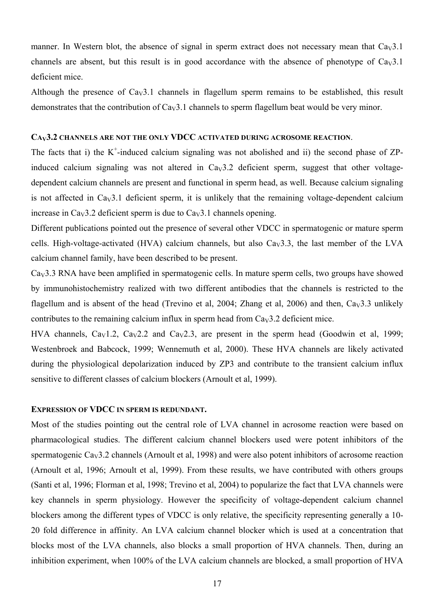manner. In Western blot, the absence of signal in sperm extract does not necessary mean that  $Ca<sub>v</sub>3.1$ channels are absent, but this result is in good accordance with the absence of phenotype of  $Ca<sub>v</sub>3.1$ deficient mice.

Although the presence of  $Cav3.1$  channels in flagellum sperm remains to be established, this result demonstrates that the contribution of  $Cav3.1$  channels to sperm flagellum beat would be very minor.

## **CAV3.2 CHANNELS ARE NOT THE ONLY VDCC ACTIVATED DURING ACROSOME REACTION**.

The facts that i) the  $K^+$ -induced calcium signaling was not abolished and ii) the second phase of ZPinduced calcium signaling was not altered in  $Ca<sub>v</sub>3.2$  deficient sperm, suggest that other voltagedependent calcium channels are present and functional in sperm head, as well. Because calcium signaling is not affected in  $Ca<sub>V</sub>3.1$  deficient sperm, it is unlikely that the remaining voltage-dependent calcium increase in  $Cav3.2$  deficient sperm is due to  $Cav3.1$  channels opening.

Different publications pointed out the presence of several other VDCC in spermatogenic or mature sperm cells. High-voltage-activated (HVA) calcium channels, but also  $Ca<sub>v</sub>3.3$ , the last member of the LVA calcium channel family, have been described to be present.

CaV3.3 RNA have been amplified in spermatogenic cells. In mature sperm cells, two groups have showed by immunohistochemistry realized with two different antibodies that the channels is restricted to the flagellum and is absent of the head (Trevino et al, 2004; Zhang et al, 2006) and then,  $Ca<sub>v</sub>3.3$  unlikely contributes to the remaining calcium influx in sperm head from  $Ca<sub>v</sub>3.2$  deficient mice.

HVA channels,  $Ca<sub>V</sub>1.2$ ,  $Ca<sub>V</sub>2.2$  and  $Ca<sub>V</sub>2.3$ , are present in the sperm head (Goodwin et al, 1999; Westenbroek and Babcock, 1999; Wennemuth et al, 2000). These HVA channels are likely activated during the physiological depolarization induced by ZP3 and contribute to the transient calcium influx sensitive to different classes of calcium blockers (Arnoult et al, 1999).

### **EXPRESSION OF VDCC IN SPERM IS REDUNDANT.**

Most of the studies pointing out the central role of LVA channel in acrosome reaction were based on pharmacological studies. The different calcium channel blockers used were potent inhibitors of the spermatogenic  $Ca<sub>V</sub>3.2$  channels (Arnoult et al, 1998) and were also potent inhibitors of acrosome reaction (Arnoult et al, 1996; Arnoult et al, 1999). From these results, we have contributed with others groups (Santi et al, 1996; Florman et al, 1998; Trevino et al, 2004) to popularize the fact that LVA channels were key channels in sperm physiology. However the specificity of voltage-dependent calcium channel blockers among the different types of VDCC is only relative, the specificity representing generally a 10- 20 fold difference in affinity. An LVA calcium channel blocker which is used at a concentration that blocks most of the LVA channels, also blocks a small proportion of HVA channels. Then, during an inhibition experiment, when 100% of the LVA calcium channels are blocked, a small proportion of HVA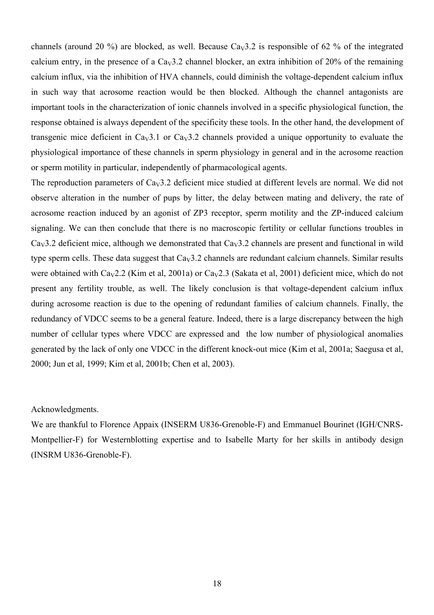channels (around 20 %) are blocked, as well. Because  $Ca<sub>v</sub>3.2$  is responsible of 62 % of the integrated calcium entry, in the presence of a  $Ca<sub>v</sub>3.2$  channel blocker, an extra inhibition of 20% of the remaining calcium influx, via the inhibition of HVA channels, could diminish the voltage-dependent calcium influx in such way that acrosome reaction would be then blocked. Although the channel antagonists are important tools in the characterization of ionic channels involved in a specific physiological function, the response obtained is always dependent of the specificity these tools. In the other hand, the development of transgenic mice deficient in  $Ca<sub>V</sub>3.1$  or  $Ca<sub>V</sub>3.2$  channels provided a unique opportunity to evaluate the physiological importance of these channels in sperm physiology in general and in the acrosome reaction or sperm motility in particular, independently of pharmacological agents.

The reproduction parameters of Ca<sub>V</sub>3.2 deficient mice studied at different levels are normal. We did not observe alteration in the number of pups by litter, the delay between mating and delivery, the rate of acrosome reaction induced by an agonist of ZP3 receptor, sperm motility and the ZP-induced calcium signaling. We can then conclude that there is no macroscopic fertility or cellular functions troubles in  $Cay3.2$  deficient mice, although we demonstrated that  $Cay3.2$  channels are present and functional in wild type sperm cells. These data suggest that  $Ca<sub>v</sub>3.2$  channels are redundant calcium channels. Similar results were obtained with Ca<sub>V</sub>2.2 (Kim et al, 2001a) or Ca<sub>V</sub>2.3 (Sakata et al, 2001) deficient mice, which do not present any fertility trouble, as well. The likely conclusion is that voltage-dependent calcium influx during acrosome reaction is due to the opening of redundant families of calcium channels. Finally, the redundancy of VDCC seems to be a general feature. Indeed, there is a large discrepancy between the high number of cellular types where VDCC are expressed and the low number of physiological anomalies generated by the lack of only one VDCC in the different knock-out mice (Kim et al, 2001a; Saegusa et al, 2000; Jun et al, 1999; Kim et al, 2001b; Chen et al, 2003).

#### Acknowledgments.

We are thankful to Florence Appaix (INSERM U836-Grenoble-F) and Emmanuel Bourinet (IGH/CNRS-Montpellier-F) for Westernblotting expertise and to Isabelle Marty for her skills in antibody design (INSRM U836-Grenoble-F).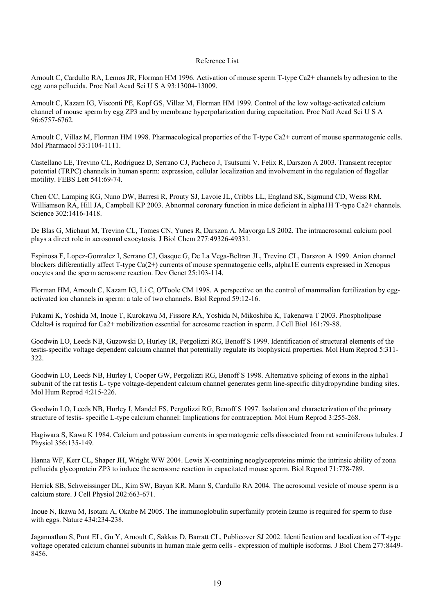#### Reference List

Arnoult C, Cardullo RA, Lemos JR, Florman HM 1996. Activation of mouse sperm T-type Ca2+ channels by adhesion to the egg zona pellucida. Proc Natl Acad Sci U S A 93:13004-13009.

Arnoult C, Kazam IG, Visconti PE, Kopf GS, Villaz M, Florman HM 1999. Control of the low voltage-activated calcium channel of mouse sperm by egg ZP3 and by membrane hyperpolarization during capacitation. Proc Natl Acad Sci U S A 96:6757-6762.

Arnoult C, Villaz M, Florman HM 1998. Pharmacological properties of the T-type Ca2+ current of mouse spermatogenic cells. Mol Pharmacol 53:1104-1111.

Castellano LE, Trevino CL, Rodriguez D, Serrano CJ, Pacheco J, Tsutsumi V, Felix R, Darszon A 2003. Transient receptor potential (TRPC) channels in human sperm: expression, cellular localization and involvement in the regulation of flagellar motility. FEBS Lett 541:69-74.

Chen CC, Lamping KG, Nuno DW, Barresi R, Prouty SJ, Lavoie JL, Cribbs LL, England SK, Sigmund CD, Weiss RM, Williamson RA, Hill JA, Campbell KP 2003. Abnormal coronary function in mice deficient in alpha1H T-type Ca2+ channels. Science 302:1416-1418.

De Blas G, Michaut M, Trevino CL, Tomes CN, Yunes R, Darszon A, Mayorga LS 2002. The intraacrosomal calcium pool plays a direct role in acrosomal exocytosis. J Biol Chem 277:49326-49331.

Espinosa F, Lopez-Gonzalez I, Serrano CJ, Gasque G, De La Vega-Beltran JL, Trevino CL, Darszon A 1999. Anion channel blockers differentially affect T-type Ca(2+) currents of mouse spermatogenic cells, alpha1E currents expressed in Xenopus oocytes and the sperm acrosome reaction. Dev Genet 25:103-114.

Florman HM, Arnoult C, Kazam IG, Li C, O'Toole CM 1998. A perspective on the control of mammalian fertilization by eggactivated ion channels in sperm: a tale of two channels. Biol Reprod 59:12-16.

Fukami K, Yoshida M, Inoue T, Kurokawa M, Fissore RA, Yoshida N, Mikoshiba K, Takenawa T 2003. Phospholipase Cdelta4 is required for Ca2+ mobilization essential for acrosome reaction in sperm. J Cell Biol 161:79-88.

Goodwin LO, Leeds NB, Guzowski D, Hurley IR, Pergolizzi RG, Benoff S 1999. Identification of structural elements of the testis-specific voltage dependent calcium channel that potentially regulate its biophysical properties. Mol Hum Reprod 5:311- 322.

Goodwin LO, Leeds NB, Hurley I, Cooper GW, Pergolizzi RG, Benoff S 1998. Alternative splicing of exons in the alpha1 subunit of the rat testis L- type voltage-dependent calcium channel generates germ line-specific dihydropyridine binding sites. Mol Hum Reprod 4:215-226.

Goodwin LO, Leeds NB, Hurley I, Mandel FS, Pergolizzi RG, Benoff S 1997. Isolation and characterization of the primary structure of testis- specific L-type calcium channel: Implications for contraception. Mol Hum Reprod 3:255-268.

Hagiwara S, Kawa K 1984. Calcium and potassium currents in spermatogenic cells dissociated from rat seminiferous tubules. J Physiol 356:135-149.

Hanna WF, Kerr CL, Shaper JH, Wright WW 2004. Lewis X-containing neoglycoproteins mimic the intrinsic ability of zona pellucida glycoprotein ZP3 to induce the acrosome reaction in capacitated mouse sperm. Biol Reprod 71:778-789.

Herrick SB, Schweissinger DL, Kim SW, Bayan KR, Mann S, Cardullo RA 2004. The acrosomal vesicle of mouse sperm is a calcium store. J Cell Physiol 202:663-671.

Inoue N, Ikawa M, Isotani A, Okabe M 2005. The immunoglobulin superfamily protein Izumo is required for sperm to fuse with eggs. Nature 434:234-238.

Jagannathan S, Punt EL, Gu Y, Arnoult C, Sakkas D, Barratt CL, Publicover SJ 2002. Identification and localization of T-type voltage operated calcium channel subunits in human male germ cells - expression of multiple isoforms. J Biol Chem 277:8449- 8456.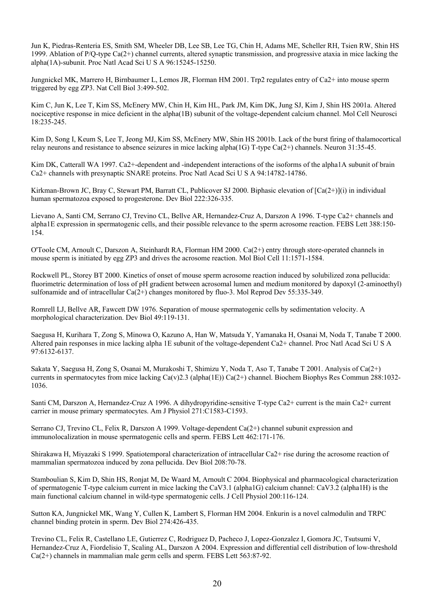Jun K, Piedras-Renteria ES, Smith SM, Wheeler DB, Lee SB, Lee TG, Chin H, Adams ME, Scheller RH, Tsien RW, Shin HS 1999. Ablation of  $P/Q$ -type  $Ca(2+)$  channel currents, altered synaptic transmission, and progressive ataxia in mice lacking the alpha(1A)-subunit. Proc Natl Acad Sci U S A 96:15245-15250.

Jungnickel MK, Marrero H, Birnbaumer L, Lemos JR, Florman HM 2001. Trp2 regulates entry of Ca2+ into mouse sperm triggered by egg ZP3. Nat Cell Biol 3:499-502.

Kim C, Jun K, Lee T, Kim SS, McEnery MW, Chin H, Kim HL, Park JM, Kim DK, Jung SJ, Kim J, Shin HS 2001a. Altered nociceptive response in mice deficient in the alpha(1B) subunit of the voltage-dependent calcium channel. Mol Cell Neurosci 18:235-245.

Kim D, Song I, Keum S, Lee T, Jeong MJ, Kim SS, McEnery MW, Shin HS 2001b. Lack of the burst firing of thalamocortical relay neurons and resistance to absence seizures in mice lacking alpha(1G) T-type Ca(2+) channels. Neuron 31:35-45.

Kim DK. Catterall WA 1997. Ca2+-dependent and -independent interactions of the isoforms of the alpha1A subunit of brain Ca2+ channels with presynaptic SNARE proteins. Proc Natl Acad Sci U S A 94:14782-14786.

Kirkman-Brown JC, Bray C, Stewart PM, Barratt CL, Publicover SJ 2000. Biphasic elevation of  $[Ca(2+)](i)$  in individual human spermatozoa exposed to progesterone. Dev Biol 222:326-335.

Lievano A, Santi CM, Serrano CJ, Trevino CL, Bellve AR, Hernandez-Cruz A, Darszon A 1996. T-type Ca2+ channels and alpha1E expression in spermatogenic cells, and their possible relevance to the sperm acrosome reaction. FEBS Lett 388:150- 154.

O'Toole CM, Arnoult C, Darszon A, Steinhardt RA, Florman HM 2000. Ca(2+) entry through store-operated channels in mouse sperm is initiated by egg ZP3 and drives the acrosome reaction. Mol Biol Cell 11:1571-1584.

Rockwell PL, Storey BT 2000. Kinetics of onset of mouse sperm acrosome reaction induced by solubilized zona pellucida: fluorimetric determination of loss of pH gradient between acrosomal lumen and medium monitored by dapoxyl (2-aminoethyl) sulfonamide and of intracellular  $Ca(2+)$  changes monitored by fluo-3. Mol Reprod Dev 55:335-349.

Romrell LJ, Bellve AR, Fawcett DW 1976. Separation of mouse spermatogenic cells by sedimentation velocity. A morphological characterization. Dev Biol 49:119-131.

Saegusa H, Kurihara T, Zong S, Minowa O, Kazuno A, Han W, Matsuda Y, Yamanaka H, Osanai M, Noda T, Tanabe T 2000. Altered pain responses in mice lacking alpha 1E subunit of the voltage-dependent Ca2+ channel. Proc Natl Acad Sci U S A 97:6132-6137.

Sakata Y, Saegusa H, Zong S, Osanai M, Murakoshi T, Shimizu Y, Noda T, Aso T, Tanabe T 2001. Analysis of Ca(2+) currents in spermatocytes from mice lacking  $Ca(v)2.3$  (alpha(1E))  $Ca(2+)$  channel. Biochem Biophys Res Commun 288:1032-1036.

Santi CM, Darszon A, Hernandez-Cruz A 1996. A dihydropyridine-sensitive T-type Ca2+ current is the main Ca2+ current carrier in mouse primary spermatocytes. Am J Physiol 271:C1583-C1593.

Serrano CJ, Trevino CL, Felix R, Darszon A 1999. Voltage-dependent Ca(2+) channel subunit expression and immunolocalization in mouse spermatogenic cells and sperm. FEBS Lett 462:171-176.

Shirakawa H, Miyazaki S 1999. Spatiotemporal characterization of intracellular Ca2+ rise during the acrosome reaction of mammalian spermatozoa induced by zona pellucida. Dev Biol 208:70-78.

Stamboulian S, Kim D, Shin HS, Ronjat M, De Waard M, Arnoult C 2004. Biophysical and pharmacological characterization of spermatogenic T-type calcium current in mice lacking the CaV3.1 (alpha1G) calcium channel: CaV3.2 (alpha1H) is the main functional calcium channel in wild-type spermatogenic cells. J Cell Physiol 200:116-124.

Sutton KA, Jungnickel MK, Wang Y, Cullen K, Lambert S, Florman HM 2004. Enkurin is a novel calmodulin and TRPC channel binding protein in sperm. Dev Biol 274:426-435.

Trevino CL, Felix R, Castellano LE, Gutierrez C, Rodriguez D, Pacheco J, Lopez-Gonzalez I, Gomora JC, Tsutsumi V, Hernandez-Cruz A, Fiordelisio T, Scaling AL, Darszon A 2004. Expression and differential cell distribution of low-threshold Ca(2+) channels in mammalian male germ cells and sperm. FEBS Lett 563:87-92.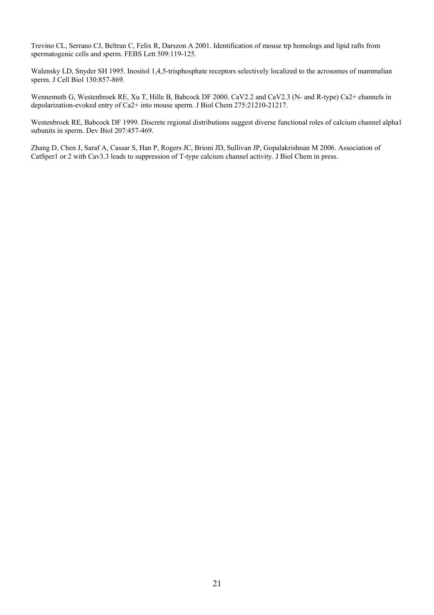Trevino CL, Serrano CJ, Beltran C, Felix R, Darszon A 2001. Identification of mouse trp homologs and lipid rafts from spermatogenic cells and sperm. FEBS Lett 509:119-125.

Walensky LD, Snyder SH 1995. Inositol 1,4,5-trisphosphate receptors selectively localized to the acrosomes of mammalian sperm. J Cell Biol 130:857-869.

Wennemuth G, Westenbroek RE, Xu T, Hille B, Babcock DF 2000. CaV2.2 and CaV2.3 (N- and R-type) Ca2+ channels in depolarization-evoked entry of Ca2+ into mouse sperm. J Biol Chem 275:21210-21217.

Westenbroek RE, Babcock DF 1999. Discrete regional distributions suggest diverse functional roles of calcium channel alpha1 subunits in sperm. Dev Biol 207:457-469.

Zhang D, Chen J, Saraf A, Cassar S, Han P, Rogers JC, Brioni JD, Sullivan JP, Gopalakrishnan M 2006. Association of CatSper1 or 2 with Cav3.3 leads to suppression of T-type calcium channel activity. J Biol Chem in press.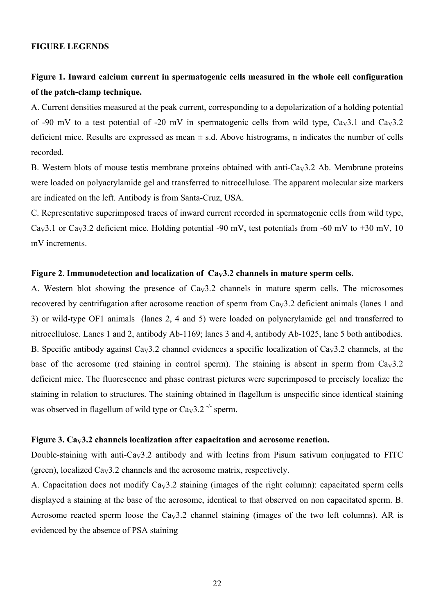### **FIGURE LEGENDS**

## **Figure 1. Inward calcium current in spermatogenic cells measured in the whole cell configuration of the patch-clamp technique.**

A. Current densities measured at the peak current, corresponding to a depolarization of a holding potential of -90 mV to a test potential of -20 mV in spermatogenic cells from wild type,  $C_{av}3.1$  and  $C_{av}3.2$ deficient mice. Results are expressed as mean  $\pm$  s.d. Above histrograms, n indicates the number of cells recorded.

B. Western blots of mouse testis membrane proteins obtained with anti- $Ca<sub>v</sub>3.2$  Ab. Membrane proteins were loaded on polyacrylamide gel and transferred to nitrocellulose. The apparent molecular size markers are indicated on the left. Antibody is from Santa-Cruz, USA.

C. Representative superimposed traces of inward current recorded in spermatogenic cells from wild type, Ca<sub>v</sub>3.1 or Ca<sub>v</sub>3.2 deficient mice. Holding potential -90 mV, test potentials from -60 mV to +30 mV, 10 mV increments.

### **Figure 2. Immunodetection and localization of**  $Cay3.2$  **channels in mature sperm cells.**

A. Western blot showing the presence of  $Cav3.2$  channels in mature sperm cells. The microsomes recovered by centrifugation after acrosome reaction of sperm from  $C_{av}3.2$  deficient animals (lanes 1 and 3) or wild-type OF1 animals (lanes 2, 4 and 5) were loaded on polyacrylamide gel and transferred to nitrocellulose. Lanes 1 and 2, antibody Ab-1169; lanes 3 and 4, antibody Ab-1025, lane 5 both antibodies. B. Specific antibody against  $Ca<sub>v</sub>3.2$  channel evidences a specific localization of  $Ca<sub>v</sub>3.2$  channels, at the base of the acrosome (red staining in control sperm). The staining is absent in sperm from  $C_{av}3.2$ deficient mice. The fluorescence and phase contrast pictures were superimposed to precisely localize the staining in relation to structures. The staining obtained in flagellum is unspecific since identical staining was observed in flagellum of wild type or  $Ca<sub>v</sub>3.2^{-1}$  sperm.

## **Figure 3. Ca<sub>V</sub>3.2 channels localization after capacitation and acrosome reaction.**

Double-staining with anti-Ca<sub>V</sub>3.2 antibody and with lectins from Pisum sativum conjugated to FITC (green), localized  $Ca<sub>V</sub>3.2$  channels and the acrosome matrix, respectively.

A. Capacitation does not modify  $Cav3.2$  staining (images of the right column): capacitated sperm cells displayed a staining at the base of the acrosome, identical to that observed on non capacitated sperm. B. Acrosome reacted sperm loose the  $Ca<sub>V</sub>3.2$  channel staining (images of the two left columns). AR is evidenced by the absence of PSA staining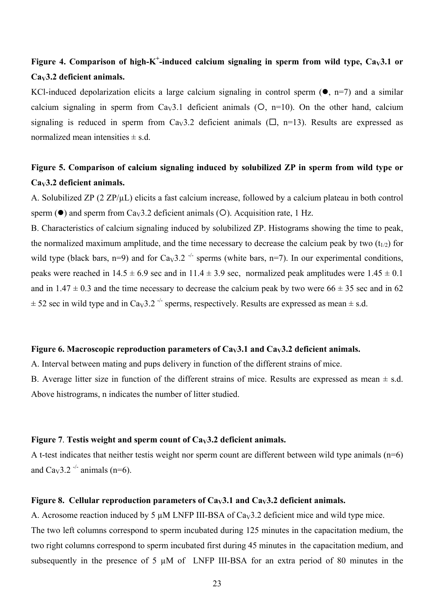## Figure 4. Comparison of high-K<sup>+</sup>-induced calcium signaling in sperm from wild type, Ca<sub>V</sub>3.1 or **CaV3.2 deficient animals.**

KCl-induced depolarization elicits a large calcium signaling in control sperm  $(\bullet, n=7)$  and a similar calcium signaling in sperm from  $Ca<sub>v</sub>3.1$  deficient animals ( $O$ , n=10). On the other hand, calcium signaling is reduced in sperm from Ca<sub>V</sub>3.2 deficient animals ( $\Box$ , n=13). Results are expressed as normalized mean intensities  $\pm$  s.d.

## **Figure 5. Comparison of calcium signaling induced by solubilized ZP in sperm from wild type or CaV3.2 deficient animals.**

A. Solubilized  $\text{ZP}(2 \text{ ZP}/\mu\text{L})$  elicits a fast calcium increase, followed by a calcium plateau in both control sperm ( $\bullet$ ) and sperm from Ca<sub>V</sub>3.2 deficient animals ( $\circ$ ). Acquisition rate, 1 Hz.

B. Characteristics of calcium signaling induced by solubilized ZP. Histograms showing the time to peak, the normalized maximum amplitude, and the time necessary to decrease the calcium peak by two  $(t_{1/2})$  for wild type (black bars, n=9) and for Ca<sub>V</sub>3.2<sup>-/-</sup> sperms (white bars, n=7). In our experimental conditions, peaks were reached in  $14.5 \pm 6.9$  sec and in  $11.4 \pm 3.9$  sec, normalized peak amplitudes were  $1.45 \pm 0.1$ and in  $1.47 \pm 0.3$  and the time necessary to decrease the calcium peak by two were  $66 \pm 35$  sec and in 62  $\pm$  52 sec in wild type and in Ca<sub>V</sub>3.2<sup>-/-</sup> sperms, respectively. Results are expressed as mean  $\pm$  s.d.

## Figure 6. Macroscopic reproduction parameters of Ca<sub>V</sub>3.1 and Ca<sub>V</sub>3.2 deficient animals.

A. Interval between mating and pups delivery in function of the different strains of mice.

B. Average litter size in function of the different strains of mice. Results are expressed as mean  $\pm$  s.d. Above histrograms, n indicates the number of litter studied.

## Figure 7. Testis weight and sperm count of Ca<sub>V</sub>3.2 deficient animals.

A t-test indicates that neither testis weight nor sperm count are different between wild type animals  $(n=6)$ and Ca<sub>V</sub>3.2<sup>-/-</sup> animals (n=6).

## **Figure 8. Cellular reproduction parameters of**  $Ca<sub>V</sub>3.1$  **and**  $Ca<sub>V</sub>3.2$  **deficient animals.**

A. Acrosome reaction induced by 5  $\mu$ M LNFP III-BSA of Ca<sub>V</sub>3.2 deficient mice and wild type mice.

The two left columns correspond to sperm incubated during 125 minutes in the capacitation medium, the two right columns correspond to sperm incubated first during 45 minutes in the capacitation medium, and subsequently in the presence of 5  $\mu$ M of LNFP III-BSA for an extra period of 80 minutes in the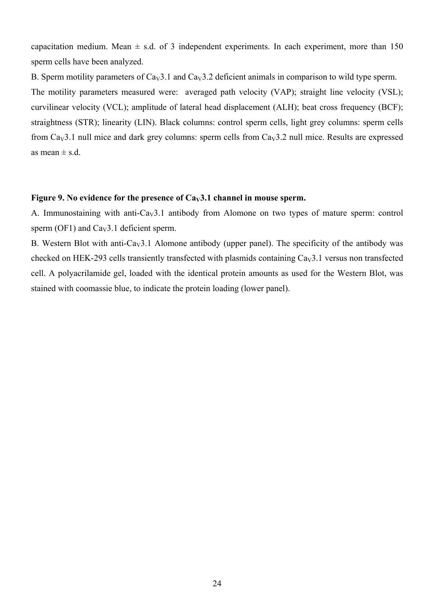capacitation medium. Mean  $\pm$  s.d. of 3 independent experiments. In each experiment, more than 150 sperm cells have been analyzed.

B. Sperm motility parameters of  $Ca<sub>V</sub>3.1$  and  $Ca<sub>V</sub>3.2$  deficient animals in comparison to wild type sperm. The motility parameters measured were: averaged path velocity (VAP); straight line velocity (VSL); curvilinear velocity (VCL); amplitude of lateral head displacement (ALH); beat cross frequency (BCF); straightness (STR); linearity (LIN). Black columns: control sperm cells, light grey columns: sperm cells from  $Cay3.1$  null mice and dark grey columns: sperm cells from  $Cay3.2$  null mice. Results are expressed as mean  $\pm$  s.d.

## Figure 9. No evidence for the presence of Ca<sub>V</sub>3.1 channel in mouse sperm.

A. Immunostaining with anti-Ca<sub>V</sub>3.1 antibody from Alomone on two types of mature sperm: control sperm (OF1) and  $Cav3.1$  deficient sperm.

B. Western Blot with anti-Ca<sub>V</sub>3.1 Alomone antibody (upper panel). The specificity of the antibody was checked on HEK-293 cells transiently transfected with plasmids containing  $C_{av}3.1$  versus non transfected cell. A polyacrilamide gel, loaded with the identical protein amounts as used for the Western Blot, was stained with coomassie blue, to indicate the protein loading (lower panel).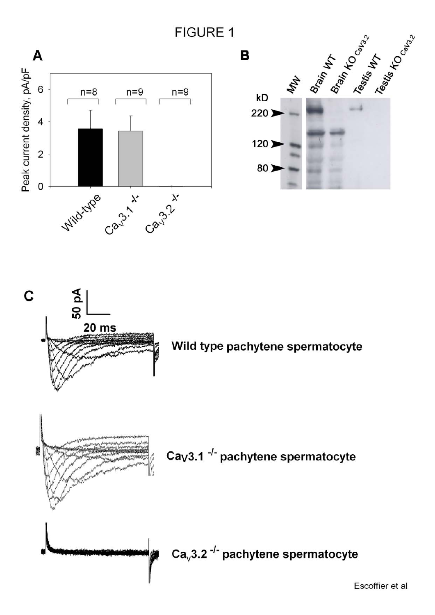



Wild type pachytene spermatocyte





 $Ca<sub>v</sub>3.2<sup>-/-</sup>$  pachytene spermatocyte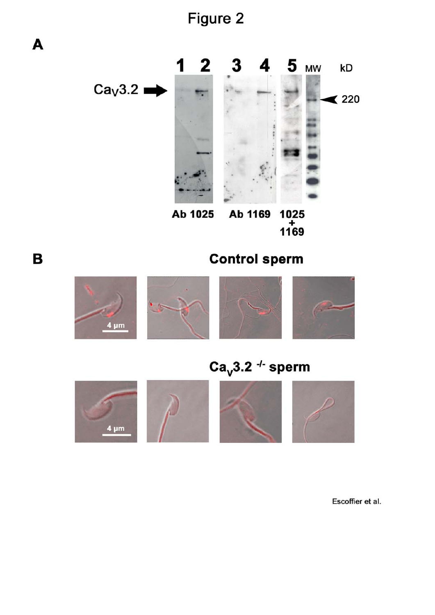Figure 2





 $Ca<sub>v</sub>3.2$  -/- sperm



Escoffier et al.

 $\blacktriangle$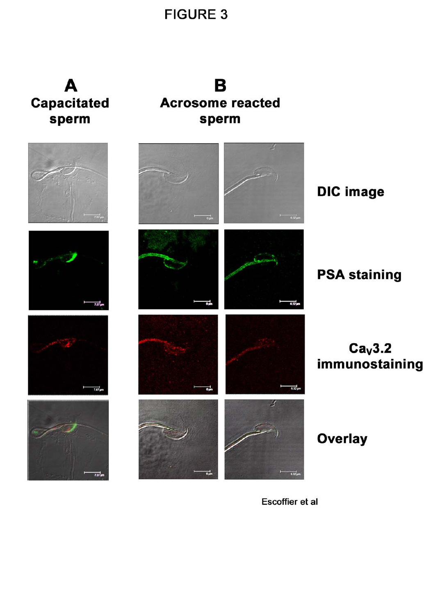

 $\mathbf B$ **Acrosome reacted** sperm

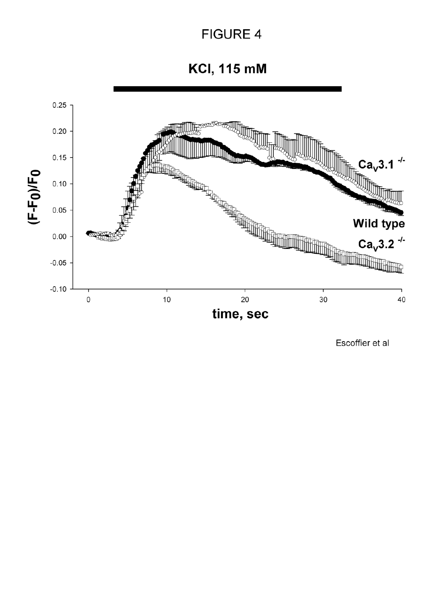**KCI, 115 mM** 

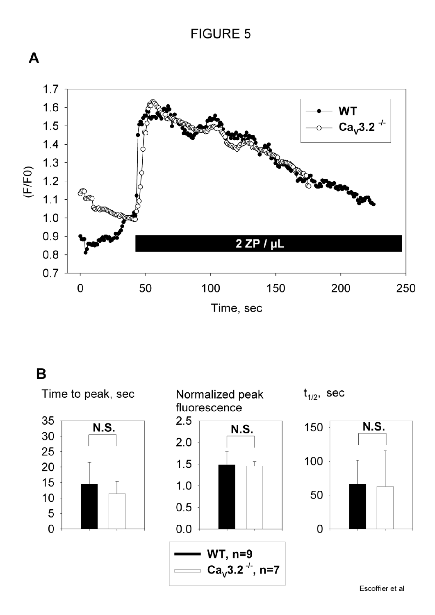

# $\overline{B}$

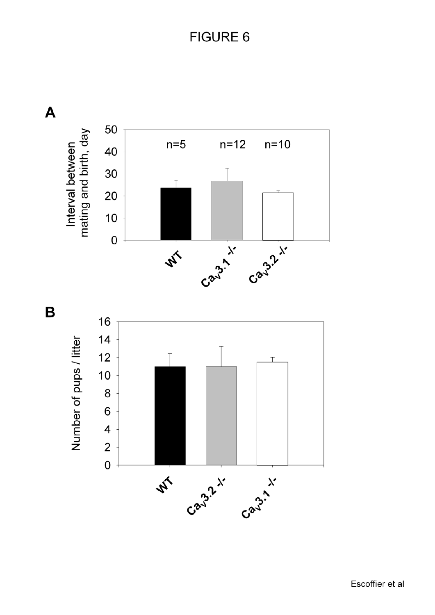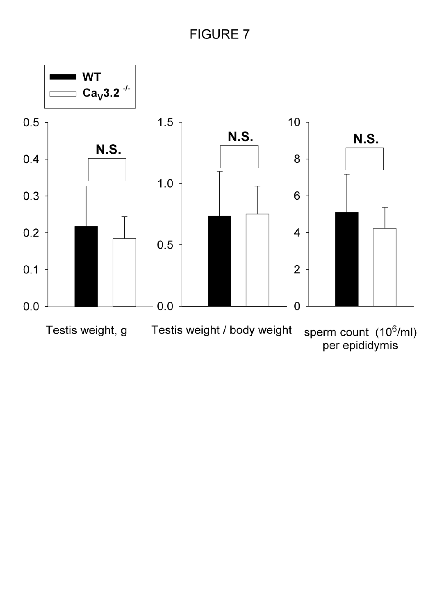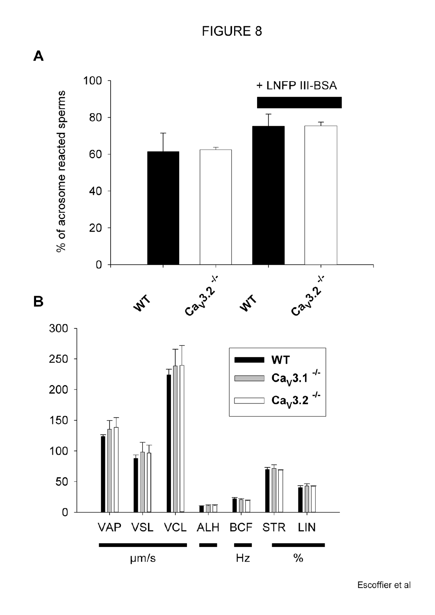